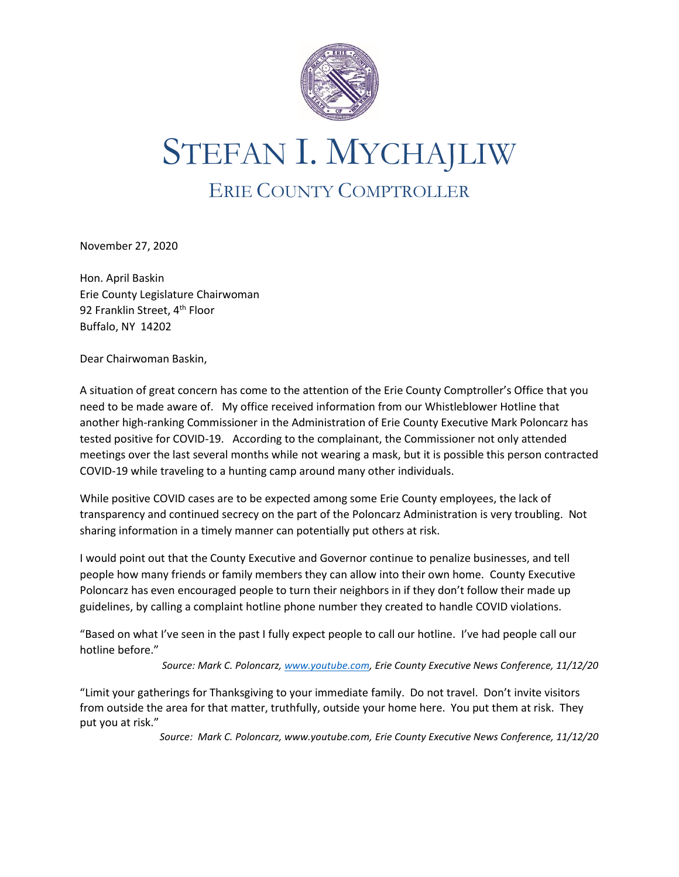

## STEFAN I. MYCHAJLIW ERIE COUNTY COMPTROLLER

November 27, 2020

Hon. April Baskin Erie County Legislature Chairwoman 92 Franklin Street, 4<sup>th</sup> Floor Buffalo, NY 14202

Dear Chairwoman Baskin,

A situation of great concern has come to the attention of the Erie County Comptroller's Office that you need to be made aware of. My office received information from our Whistleblower Hotline that another high-ranking Commissioner in the Administration of Erie County Executive Mark Poloncarz has tested positive for COVID-19. According to the complainant, the Commissioner not only attended meetings over the last several months while not wearing a mask, but it is possible this person contracted COVID-19 while traveling to a hunting camp around many other individuals.

While positive COVID cases are to be expected among some Erie County employees, the lack of transparency and continued secrecy on the part of the Poloncarz Administration is very troubling. Not sharing information in a timely manner can potentially put others at risk.

I would point out that the County Executive and Governor continue to penalize businesses, and tell people how many friends or family members they can allow into their own home. County Executive Poloncarz has even encouraged people to turn their neighbors in if they don't follow their made up guidelines, by calling a complaint hotline phone number they created to handle COVID violations.

"Based on what I've seen in the past I fully expect people to call our hotline. I've had people call our hotline before."

*Source: Mark C. Poloncarz[, www.youtube.com,](http://www.youtube.com/) Erie County Executive News Conference, 11/12/20*

"Limit your gatherings for Thanksgiving to your immediate family. Do not travel. Don't invite visitors from outside the area for that matter, truthfully, outside your home here. You put them at risk. They put you at risk."

*Source: Mark C. Poloncarz, www.youtube.com, Erie County Executive News Conference, 11/12/20*